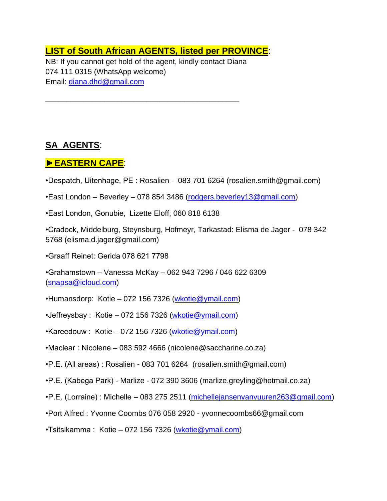## **LIST of South African AGENTS, listed per PROVINCE**:

NB: If you cannot get hold of the agent, kindly contact Diana 074 111 0315 (WhatsApp welcome) Email: [diana.dhd@gmail.com](mailto:diana.dhd@gmail.com)

\_\_\_\_\_\_\_\_\_\_\_\_\_\_\_\_\_\_\_\_\_\_\_\_\_\_\_\_\_\_\_\_\_\_\_\_\_\_\_\_\_\_\_\_\_\_

## **SA AGENTS**:

## **►EASTERN CAPE**:

- •Despatch, Uitenhage, PE : Rosalien 083 701 6264 (rosalien.smith@gmail.com)
- •East London Beverley 078 854 3486 [\(rodgers.beverley13@gmail.com\)](mailto:rodgers.beverley13@gmail.com)
- •East London, Gonubie, Lizette Eloff, 060 818 6138
- •Cradock, Middelburg, Steynsburg, Hofmeyr, Tarkastad: Elisma de Jager 078 342 5768 (elisma.d.jager@gmail.com)
- •Graaff Reinet: Gerida 078 621 7798
- •Grahamstown Vanessa McKay 062 943 7296 / 046 622 6309 [\(snapsa@icloud.com\)](mailto:snapsa@icloud.com)
- •Humansdorp: Kotie 072 156 7326 [\(wkotie@ymail.com\)](mailto:wkotie@ymail.com)
- •Jeffreysbay : Kotie 072 156 7326 [\(wkotie@ymail.com\)](mailto:wkotie@ymail.com)
- $\cdot$ Kareedouw : Kotie 072 156 7326 [\(wkotie@ymail.com\)](mailto:wkotie@ymail.com)
- •Maclear : Nicolene 083 592 4666 (nicolene@saccharine.co.za)
- •P.E. (All areas) : Rosalien 083 701 6264 (rosalien.smith@gmail.com)
- •P.E. (Kabega Park) Marlize 072 390 3606 (marlize.greyling@hotmail.co.za)
- •P.E. (Lorraine) : Michelle 083 275 2511 [\(michellejansenvanvuuren263@gmail.com\)](mailto:michellejansenvanvuuren263@gmail.com)
- •Port Alfred : Yvonne Coombs 076 058 2920 yvonnecoombs66@gmail.com
- $\cdot$ Tsitsikamma : Kotie 072 156 7326 [\(wkotie@ymail.com\)](mailto:wkotie@ymail.com)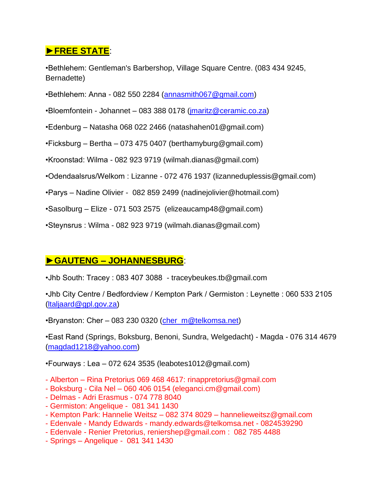## **►FREE STATE**:

•Bethlehem: Gentleman's Barbershop, Village Square Centre. (083 434 9245, Bernadette)

- •Bethlehem: Anna 082 550 2284 [\(annasmith067@gmail.com\)](mailto:annasmith067@gmail.com)
- •Bloemfontein Johannet 083 388 0178 [\(jmaritz@ceramic.co.za\)](mailto:jmaritz@ceramic.co.za)
- •Edenburg Natasha 068 022 2466 (natashahen01@gmail.com)
- •Ficksburg Bertha 073 475 0407 (berthamyburg@gmail.com)
- •Kroonstad: Wilma 082 923 9719 (wilmah.dianas@gmail.com)
- •Odendaalsrus/Welkom : Lizanne 072 476 1937 (lizanneduplessis@gmail.com)
- •Parys Nadine Olivier 082 859 2499 (nadinejolivier@hotmail.com)
- •Sasolburg Elize 071 503 2575 (elizeaucamp48@gmail.com)
- •Steynsrus : Wilma 082 923 9719 (wilmah.dianas@gmail.com)

# **►GAUTENG – JOHANNESBURG**:

•Jhb South: Tracey : 083 407 3088 - traceybeukes.tb@gmail.com

•Jhb City Centre / Bedfordview / Kempton Park / Germiston : Leynette : 060 533 2105 [\(ltaljaard@gpl.gov.za\)](mailto:ltaljaard@gpl.gov.za)

•Bryanston: Cher - 083 230 0320 [\(cher\\_m@telkomsa.net\)](mailto:cher_m@telkomsa.net)

•East Rand (Springs, Boksburg, Benoni, Sundra, Welgedacht) - Magda - 076 314 4679 [\(magdad1218@yahoo.com\)](mailto:magdad1218@yahoo.com)

•Fourways : Lea – 072 624 3535 (leabotes1012@gmail.com)

- Alberton Rina Pretorius 069 468 4617: rinappretorius@gmail.com
- Boksburg Cila Nel 060 406 0154 (eleganci.cm@gmail.com)
- Delmas Adri Erasmus 074 778 8040
- Germiston: Angelique 081 341 1430
- Kempton Park: Hannelie Weitsz 082 374 8029 hannelieweitsz@gmail.com
- Edenvale Mandy Edwards mandy.edwards@telkomsa.net 0824539290
- Edenvale Renier Pretorius, [reniershep@gmail.com](mailto:reniershep@gmail.com) : 082 785 4488
- Springs Angelique 081 341 1430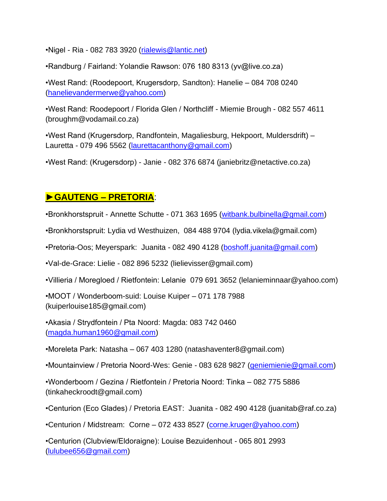•Nigel - Ria - 082 783 3920 [\(rialewis@lantic.net\)](mailto:rialewis@lantic.net)

•Randburg / Fairland: Yolandie Rawson: 076 180 8313 (yv@live.co.za)

•West Rand: (Roodepoort, Krugersdorp, Sandton): Hanelie – 084 708 0240 [\(hanelievandermerwe@yahoo.com\)](mailto:hanelievandermerwe@yahoo.com)

•West Rand: Roodepoort / Florida Glen / Northcliff - Miemie Brough - 082 557 4611 (broughm@vodamail.co.za)

•West Rand (Krugersdorp, Randfontein, Magaliesburg, Hekpoort, Muldersdrift) – Lauretta - 079 496 5562 [\(laurettacanthony@gmail.com\)](mailto:laurettacanthony@gmail.com)

•West Rand: (Krugersdorp) - Janie - 082 376 6874 (janiebritz@netactive.co.za)

# **►GAUTENG – PRETORIA**:

•Bronkhorstspruit - Annette Schutte - 071 363 1695 [\(witbank.bulbinella@gmail.com\)](mailto:witbank.bulbinella@gmail.com)

•Bronkhorstspruit: Lydia vd Westhuizen, 084 488 9704 (lydia.vikela@gmail.com)

•Pretoria-Oos; Meyerspark: Juanita - 082 490 4128 [\(boshoff.juanita@gmail.com\)](mailto:boshoff.juanita@gmail.com)

•Val-de-Grace: Lielie - 082 896 5232 (lielievisser@gmail.com)

•Villieria / Moregloed / Rietfontein: Lelanie 079 691 3652 (lelanieminnaar@yahoo.com)

•MOOT / Wonderboom-suid: Louise Kuiper – 071 178 7988 (kuiperlouise185@gmail.com)

•Akasia / Strydfontein / Pta Noord: Magda: 083 742 0460 [\(magda.human1960@gmail.com\)](mailto:magda.human1960@gmail.com)

•Moreleta Park: Natasha – 067 403 1280 (natashaventer8@gmail.com)

•Mountainview / Pretoria Noord-Wes: Genie - 083 628 9827 [\(geniemienie@gmail.com\)](mailto:geniemienie@gmail.com)

•Wonderboom / Gezina / Rietfontein / Pretoria Noord: Tinka – 082 775 5886 (tinkaheckroodt@gmail.com)

•Centurion (Eco Glades) / Pretoria EAST: Juanita - 082 490 4128 (juanitab@raf.co.za)

•Centurion / Midstream: Corne – 072 433 8527 [\(corne.kruger@yahoo.com\)](mailto:corne.kruger@yahoo.com)

•Centurion (Clubview/Eldoraigne): Louise Bezuidenhout - 065 801 2993 [\(lulubee656@gmail.com\)](mailto:lulubee656@gmail.com)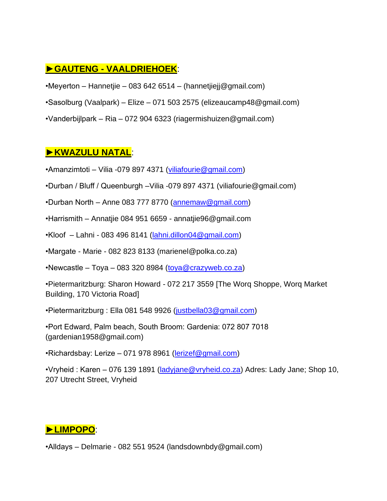# **►GAUTENG - VAALDRIEHOEK**:

- •Meyerton Hannetjie 083 642 6514 (hannetjiejj@gmail.com)
- •Sasolburg (Vaalpark) Elize 071 503 2575 (elizeaucamp48@gmail.com)
- •Vanderbijlpark Ria 072 904 6323 (riagermishuizen@gmail.com)

### **►KWAZULU NATAL**:

- •Amanzimtoti Vilia -079 897 4371 [\(viliafourie@gmail.com\)](mailto:viliafourie@gmail.com)
- •Durban / Bluff / Queenburgh –Vilia -079 897 4371 (viliafourie@gmail.com)
- •Durban North Anne 083 777 8770 [\(annemaw@gmail.com\)](mailto:annemaw@gmail.com)
- •Harrismith Annatjie 084 951 6659 annatjie96@gmail.com
- •Kloof Lahni 083 496 8141 [\(lahni.dillon04@gmail.com\)](mailto:lahni.dillon04@gmail.com)
- •Margate Marie 082 823 8133 (marienel@polka.co.za)
- •Newcastle Toya 083 320 8984 [\(toya@crazyweb.co.za\)](mailto:toya@crazyweb.co.za)
- •Pietermaritzburg: Sharon Howard 072 217 3559 [The Worq Shoppe, Worq Market Building, 170 Victoria Road]
- •Pietermaritzburg : Ella 081 548 9926 [\(justbella03@gmail.com\)](mailto:justbella03@gmail.com)
- •Port Edward, Palm beach, South Broom: Gardenia: 072 807 7018 (gardenian1958@gmail.com)
- •Richardsbay: Lerize 071 978 8961 [\(lerizef@gmail.com\)](mailto:lerizef@gmail.com)
- •Vryheid : Karen 076 139 1891 (ladviane@vryheid.co.za) Adres: Lady Jane; Shop 10, 207 Utrecht Street, Vryheid

# **►LIMPOPO**:

•Alldays – Delmarie - 082 551 9524 (landsdownbdy@gmail.com)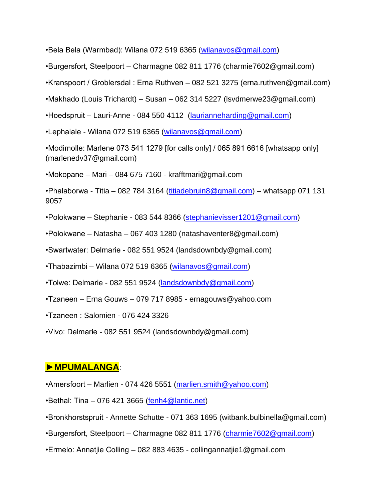•Bela Bela (Warmbad): Wilana 072 519 6365 [\(wilanavos@gmail.com\)](mailto:wilanavos@gmail.com)

•Burgersfort, Steelpoort – Charmagne 082 811 1776 (charmie7602@gmail.com)

•Kranspoort / Groblersdal : Erna Ruthven – 082 521 3275 (erna.ruthven@gmail.com)

•Makhado (Louis Trichardt) – Susan – 062 314 5227 (lsvdmerwe23@gmail.com)

•Hoedspruit – Lauri-Anne - 084 550 4112 [\(laurianneharding@gmail.com\)](mailto:laurianneharding@gmail.com)

•Lephalale - Wilana 072 519 6365 [\(wilanavos@gmail.com\)](mailto:wilanavos@gmail.com)

•Modimolle: Marlene 073 541 1279 [for calls only] / 065 891 6616 [whatsapp only] (marlenedv37@gmail.com)

•Mokopane – Mari – 084 675 7160 - krafftmari@gmail.com

•Phalaborwa - Titia – 082 784 3164 [\(titiadebruin8@gmail.com\)](mailto:titiadebruin8@gmail.com) – whatsapp 071 131 9057

•Polokwane – Stephanie - 083 544 8366 [\(stephanievisser1201@gmail.com\)](mailto:stephanievisser1201@gmail.com)

•Polokwane – Natasha – 067 403 1280 (natashaventer8@gmail.com)

•Swartwater: Delmarie - 082 551 9524 (landsdownbdy@gmail.com)

•Thabazimbi – Wilana 072 519 6365 [\(wilanavos@gmail.com\)](mailto:wilanavos@gmail.com)

•Tolwe: Delmarie - 082 551 9524 [\(landsdownbdy@gmail.com\)](mailto:landsdownbdy@gmail.com)

•Tzaneen – Erna Gouws – 079 717 8985 - ernagouws@yahoo.com

•Tzaneen : Salomien - 076 424 3326

•Vivo: Delmarie - 082 551 9524 (landsdownbdy@gmail.com)

### **►MPUMALANGA**:

•Amersfoort – Marlien - 074 426 5551 [\(marlien.smith@yahoo.com\)](mailto:marlien.smith@yahoo.com)

 $\cdot$ Bethal: Tina – 076 421 3665 [\(fenh4@lantic.net\)](mailto:fenh4@lantic.net)

•Bronkhorstspruit - Annette Schutte - 071 363 1695 (witbank.bulbinella@gmail.com)

•Burgersfort, Steelpoort – Charmagne 082 811 1776 [\(charmie7602@gmail.com\)](mailto:charmie7602@gmail.com)

•Ermelo: Annatjie Colling – 082 883 4635 - collingannatjie1@gmail.com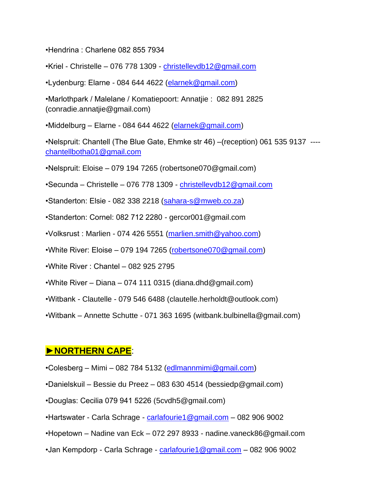•Hendrina : Charlene 082 855 7934

•Kriel - Christelle – 076 778 1309 - [christellevdb12@gmail.com](mailto:christellevdb12@gmail.com)

•Lydenburg: Elarne - 084 644 4622 [\(elarnek@gmail.com\)](mailto:elarnek@gmail.com)

•Marlothpark / Malelane / Komatiepoort: Annatjie : 082 891 2825 (conradie.annatjie@gmail.com)

•Middelburg – Elarne - 084 644 4622 [\(elarnek@gmail.com\)](mailto:elarnek@gmail.com)

•Nelspruit: Chantell (The Blue Gate, Ehmke str 46) –(reception) 061 535 9137 --- [chantellbotha01@gmail.com](mailto:chantellbotha01@gmail.com)

•Nelspruit: Eloise – 079 194 7265 (robertsone070@gmail.com)

•Secunda – Christelle – 076 778 1309 - [christellevdb12@gmail.com](mailto:christellevdb12@gmail.com)

•Standerton: Elsie - 082 338 2218 [\(sahara-s@mweb.co.za\)](mailto:sahara-s@mweb.co.za)

•Standerton: Cornel: 082 712 2280 - gercor001@gmail.com

•Volksrust : Marlien - 074 426 5551 [\(marlien.smith@yahoo.com\)](mailto:marlien.smith@yahoo.com)

•White River: Eloise – 079 194 7265 [\(robertsone070@gmail.com\)](mailto:robertsone070@gmail.com)

•White River : Chantel – 082 925 2795

•White River – Diana – 074 111 0315 (diana.dhd@gmail.com)

•Witbank - Clautelle - 079 546 6488 (clautelle.herholdt@outlook.com)

•Witbank – Annette Schutte - 071 363 1695 (witbank.bulbinella@gmail.com)

#### **►NORTHERN CAPE**:

- •Colesberg Mimi 082 784 5132 [\(edlmannmimi@gmail.com\)](mailto:edlmannmimi@gmail.com)
- •Danielskuil Bessie du Preez 083 630 4514 (bessiedp@gmail.com)
- •Douglas: Cecilia 079 941 5226 (5cvdh5@gmail.com)
- •Hartswater Carla Schrage [carlafourie1@gmail.com](mailto:carlafourie1@gmail.com) 082 906 9002
- •Hopetown Nadine van Eck 072 297 8933 nadine.vaneck86@gmail.com
- •Jan Kempdorp Carla Schrage [carlafourie1@gmail.com](mailto:carlafourie1@gmail.com) 082 906 9002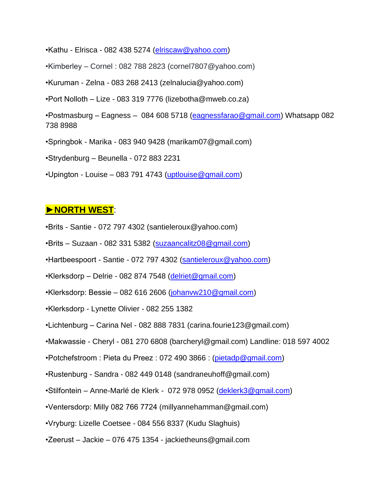•Kathu - Elrisca - 082 438 5274 [\(elriscaw@yahoo.com\)](mailto:elriscaw@yahoo.com)

•Kimberley – Cornel : 082 788 2823 (cornel7807@yahoo.com)

•Kuruman - Zelna - 083 268 2413 (zelnalucia@yahoo.com)

•Port Nolloth – Lize - 083 319 7776 (lizebotha@mweb.co.za)

•Postmasburg – Eagness – 084 608 5718 [\(eagnessfarao@gmail.com\)](mailto:eagnessfarao@gmail.com) Whatsapp 082 738 8988

•Springbok - Marika - 083 940 9428 (marikam07@gmail.com)

•Strydenburg – Beunella - 072 883 2231

•Upington - Louise – 083 791 4743 [\(uptlouise@gmail.com\)](mailto:uptlouise@gmail.com)

#### **►NORTH WEST**:

- •Brits Santie 072 797 4302 (santieleroux@yahoo.com)
- •Brits Suzaan 082 331 5382 [\(suzaancalitz08@gmail.com\)](mailto:suzaancalitz08@gmail.com)
- •Hartbeespoort Santie 072 797 4302 [\(santieleroux@yahoo.com\)](mailto:santieleroux@yahoo.com)
- $\cdot$ Klerksdorp Delrie 082 874 7548 [\(delriet@gmail.com\)](mailto:delriet@gmail.com)
- •Klerksdorp: Bessie 082 616 2606 [\(johanvw210@gmail.com\)](mailto:johanvw210@gmail.com)
- •Klerksdorp Lynette Olivier 082 255 1382
- •Lichtenburg Carina Nel 082 888 7831 (carina.fourie123@gmail.com)
- •Makwassie Cheryl 081 270 6808 (barcheryl@gmail.com) Landline: 018 597 4002
- •Potchefstroom : Pieta du Preez : 072 490 3866 : [\(pietadp@gmail.com\)](mailto:pietadp@gmail.com)
- •Rustenburg Sandra 082 449 0148 (sandraneuhoff@gmail.com)
- •Stilfontein Anne-Marlé de Klerk 072 978 0952 [\(deklerk3@gmail.com\)](mailto:deklerk3@gmail.com)
- •Ventersdorp: Milly 082 766 7724 (millyannehamman@gmail.com)
- •Vryburg: Lizelle Coetsee 084 556 8337 (Kudu Slaghuis)
- •Zeerust Jackie 076 475 1354 jackietheuns@gmail.com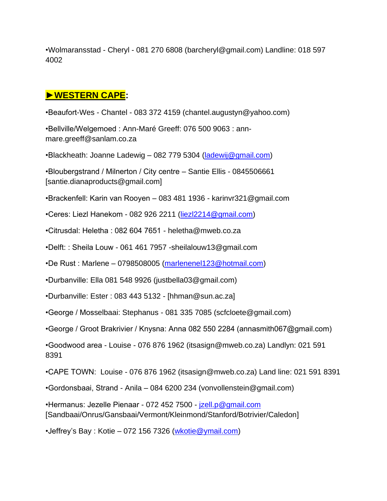•Wolmaransstad - Cheryl - 081 270 6808 (barcheryl@gmail.com) Landline: 018 597 4002

# **►WESTERN CAPE:**

•Beaufort-Wes - Chantel - 083 372 4159 (chantel.augustyn@yahoo.com)

•Bellville/Welgemoed : Ann-Maré Greeff: 076 500 9063 : annmare.greeff@sanlam.co.za

•Blackheath: Joanne Ladewig – 082 779 5304 [\(ladewij@gmail.com\)](mailto:ladewij@gmail.com)

•Bloubergstrand / Milnerton / City centre – Santie Ellis - 0845506661 [santie.dianaproducts@gmail.com]

- •Brackenfell: Karin van Rooyen 083 481 1936 karinvr321@gmail.com
- •Ceres: Liezl Hanekom 082 926 2211 [\(liezl2214@gmail.com\)](mailto:liezl2214@gmail.com)
- •Citrusdal: Heletha : 082 604 7651 heletha@mweb.co.za

•Delft: : Sheila Louw - 061 461 7957 -sheilalouw13@gmail.com

•De Rust : Marlene – 0798508005 [\(marlenenel123@hotmail.com\)](mailto:marlenenel123@hotmail.com)

•Durbanville: Ella 081 548 9926 (justbella03@gmail.com)

•Durbanville: Ester : 083 443 5132 - [hhman@sun.ac.za]

•George / Mosselbaai: Stephanus - 081 335 7085 (scfcloete@gmail.com)

•George / Groot Brakrivier / Knysna: Anna 082 550 2284 (annasmith067@gmail.com)

•Goodwood area - Louise - 076 876 1962 (itsasign@mweb.co.za) Landlyn: 021 591 8391

•CAPE TOWN: Louise - 076 876 1962 (itsasign@mweb.co.za) Land line: 021 591 8391

•Gordonsbaai, Strand - Anila – 084 6200 234 (vonvollenstein@gmail.com)

•Hermanus: Jezelle Pienaar - 072 452 7500 - [jzell.p@gmail.com](mailto:jzell.p@gmail.com)  [Sandbaai/Onrus/Gansbaai/Vermont/Kleinmond/Stanford/Botrivier/Caledon]

•Jeffrey's Bay : Kotie – 072 156 7326 [\(wkotie@ymail.com\)](mailto:wkotie@ymail.com)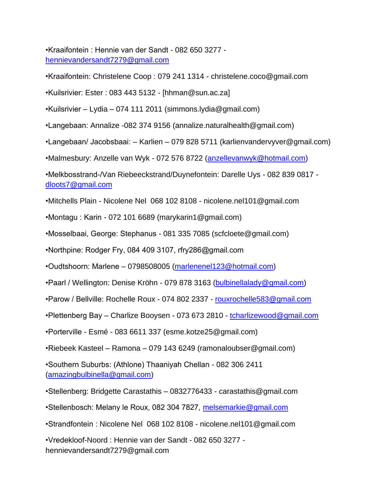•Kraaifontein : Hennie van der Sandt - 082 650 3277 [hennievandersandt7279@gmail.com](mailto:hennievandersandt7279@gmail.com)

•Kraaifontein: Christelene Coop : 079 241 1314 - christelene.coco@gmail.com

•Kuilsrivier: Ester : 083 443 5132 - [hhman@sun.ac.za]

•Kuilsrivier – Lydia – 074 111 2011 (simmons.lydia@gmail.com)

•Langebaan: Annalize -082 374 9156 (annalize.naturalhealth@gmail.com)

•Langebaan/ Jacobsbaai: – Karlien – 079 828 5711 (karlienvandervyver@gmail.com)

•Malmesbury: Anzelle van Wyk - 072 576 8722 [\(anzellevanwyk@hotmail.com\)](mailto:anzellevanwyk@hotmail.com)

•Melkbosstrand-/Van Riebeeckstrand/Duynefontein: Darelle Uys - 082 839 0817 [dloots7@gmail.com](mailto:dloots7@gmail.com)

•Mitchells Plain - Nicolene Nel 068 102 8108 - nicolene.nel101@gmail.com

•Montagu : Karin - 072 101 6689 (marykarin1@gmail.com)

•Mosselbaai, George: Stephanus - 081 335 7085 (scfcloete@gmail.com)

•Northpine: Rodger Fry, 084 409 3107, rfry286@gmail.com

•Oudtshoorn: Marlene – 0798508005 [\(marlenenel123@hotmail.com\)](mailto:marlenenel123@hotmail.com)

•Paarl / Wellington: Denise Kröhn - 079 878 3163 [\(bulbinellalady@gmail.com\)](mailto:bulbinellalady@gmail.com)

•Parow / Bellville: Rochelle Roux - 074 802 2337 - [rouxrochelle583@gmail.com](mailto:rouxrochelle583@gmail.com)

•Plettenberg Bay - Charlize Booysen - 073 673 2810 - tcharlizewood@gmail.com

•Porterville - Esmé - 083 6611 337 (esme.kotze25@gmail.com)

•Riebeek Kasteel – Ramona – 079 143 6249 (ramonaloubser@gmail.com)

•Southern Suburbs: (Athlone) Thaaniyah Chellan - 082 306 2411 [\(amazingbulbinella@gmail.com\)](mailto:amazingbulbinella@gmail.com)

•Stellenberg: Bridgette Carastathis – 0832776433 - carastathis@gmail.com

•Stellenbosch: Melany le Roux, 082 304 7827, [melsemarkie@gmail.com](mailto:melsemarkie@gmail.com)

•Strandfontein : Nicolene Nel 068 102 8108 - nicolene.nel101@gmail.com

•Vredekloof-Noord : Hennie van der Sandt - 082 650 3277 hennievandersandt7279@gmail.com